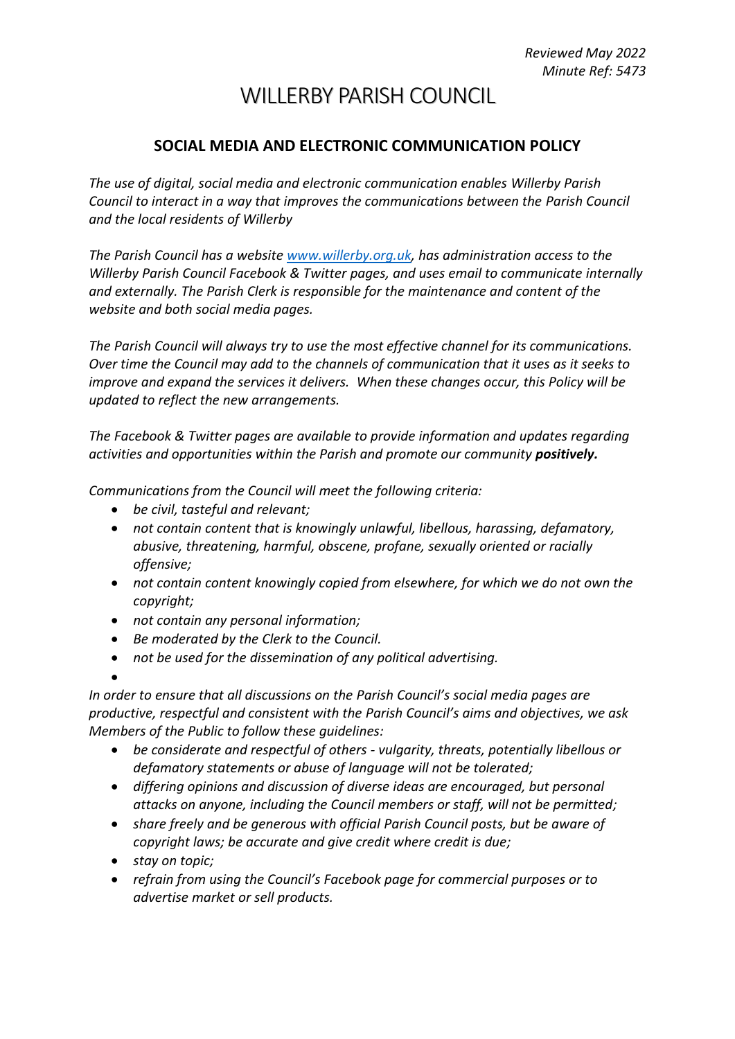## WILLERBY PARISH COUNCIL

## **SOCIAL MEDIA AND ELECTRONIC COMMUNICATION POLICY**

*The use of digital, social media and electronic communication enables Willerby Parish Council to interact in a way that improves the communications between the Parish Council and the local residents of Willerby*

*The Parish Council has a website [www.willerby.org.uk,](http://www.willerby.org.uk/) has administration access to the Willerby Parish Council Facebook & Twitter pages, and uses email to communicate internally and externally. The Parish Clerk is responsible for the maintenance and content of the website and both social media pages.*

*The Parish Council will always try to use the most effective channel for its communications. Over time the Council may add to the channels of communication that it uses as it seeks to improve and expand the services it delivers. When these changes occur, this Policy will be updated to reflect the new arrangements.* 

*The Facebook & Twitter pages are available to provide information and updates regarding activities and opportunities within the Parish and promote our community positively.* 

*Communications from the Council will meet the following criteria:* 

- *be civil, tasteful and relevant;*
- *not contain content that is knowingly unlawful, libellous, harassing, defamatory, abusive, threatening, harmful, obscene, profane, sexually oriented or racially offensive;*
- *not contain content knowingly copied from elsewhere, for which we do not own the copyright;*
- *not contain any personal information;*
- *Be moderated by the Clerk to the Council.*
- *not be used for the dissemination of any political advertising.*

•

*In order to ensure that all discussions on the Parish Council's social media pages are productive, respectful and consistent with the Parish Council's aims and objectives, we ask Members of the Public to follow these guidelines:* 

- *be considerate and respectful of others - vulgarity, threats, potentially libellous or defamatory statements or abuse of language will not be tolerated;*
- *differing opinions and discussion of diverse ideas are encouraged, but personal attacks on anyone, including the Council members or staff, will not be permitted;*
- *share freely and be generous with official Parish Council posts, but be aware of copyright laws; be accurate and give credit where credit is due;*
- *stay on topic;*
- *refrain from using the Council's Facebook page for commercial purposes or to advertise market or sell products.*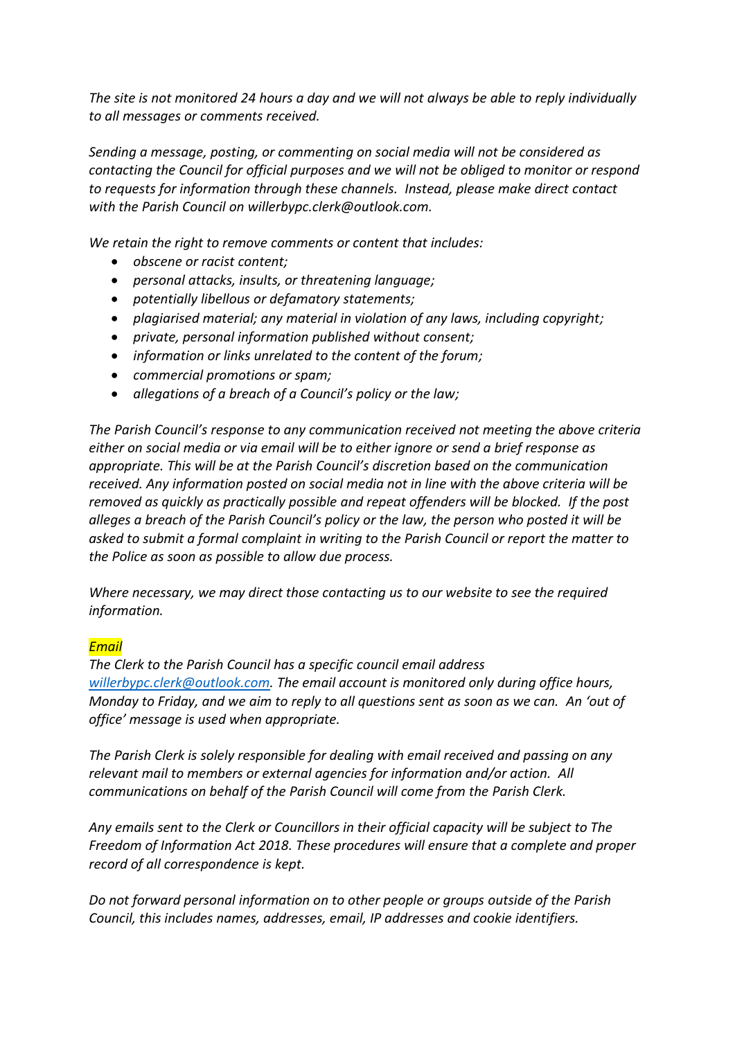*The site is not monitored 24 hours a day and we will not always be able to reply individually to all messages or comments received.* 

*Sending a message, posting, or commenting on social media will not be considered as contacting the Council for official purposes and we will not be obliged to monitor or respond to requests for information through these channels. Instead, please make direct contact with the Parish Council on willerbypc.clerk@outlook.com.*

*We retain the right to remove comments or content that includes:*

- *obscene or racist content;*
- *personal attacks, insults, or threatening language;*
- *potentially libellous or defamatory statements;*
- *plagiarised material; any material in violation of any laws, including copyright;*
- *private, personal information published without consent;*
- *information or links unrelated to the content of the forum;*
- *commercial promotions or spam;*
- *allegations of a breach of a Council's policy or the law;*

*The Parish Council's response to any communication received not meeting the above criteria either on social media or via email will be to either ignore or send a brief response as appropriate. This will be at the Parish Council's discretion based on the communication received. Any information posted on social media not in line with the above criteria will be removed as quickly as practically possible and repeat offenders will be blocked. If the post alleges a breach of the Parish Council's policy or the law, the person who posted it will be asked to submit a formal complaint in writing to the Parish Council or report the matter to the Police as soon as possible to allow due process.*

*Where necessary, we may direct those contacting us to our website to see the required information.*

## *Email*

*The Clerk to the Parish Council has a specific council email address [willerbypc.clerk@outlook.com.](mailto:willerbypc.clerk@outlook.com) The email account is monitored only during office hours, Monday to Friday, and we aim to reply to all questions sent as soon as we can. An 'out of office' message is used when appropriate.*

*The Parish Clerk is solely responsible for dealing with email received and passing on any relevant mail to members or external agencies for information and/or action. All communications on behalf of the Parish Council will come from the Parish Clerk.*

*Any emails sent to the Clerk or Councillors in their official capacity will be subject to The Freedom of Information Act 2018. These procedures will ensure that a complete and proper record of all correspondence is kept.*

*Do not forward personal information on to other people or groups outside of the Parish Council, this includes names, addresses, email, IP addresses and cookie identifiers.*